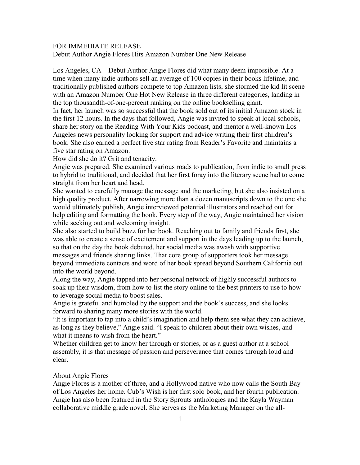## FOR IMMEDIATE RELEASE

Debut Author Angie Flores Hits Amazon Number One New Release

Los Angeles, CA—Debut Author Angie Flores did what many deem impossible. At a time when many indie authors sell an average of 100 copies in their books lifetime, and traditionally published authors compete to top Amazon lists, she stormed the kid lit scene with an Amazon Number One Hot New Release in three different categories, landing in the top thousandth-of-one-percent ranking on the online bookselling giant.

In fact, her launch was so successful that the book sold out of its initial Amazon stock in the first 12 hours. In the days that followed, Angie was invited to speak at local schools, share her story on the Reading With Your Kids podcast, and mentor a well-known Los Angeles news personality looking for support and advice writing their first children's book. She also earned a perfect five star rating from Reader's Favorite and maintains a five star rating on Amazon.

How did she do it? Grit and tenacity.

Angie was prepared. She examined various roads to publication, from indie to small press to hybrid to traditional, and decided that her first foray into the literary scene had to come straight from her heart and head.

She wanted to carefully manage the message and the marketing, but she also insisted on a high quality product. After narrowing more than a dozen manuscripts down to the one she would ultimately publish, Angie interviewed potential illustrators and reached out for help editing and formatting the book. Every step of the way, Angie maintained her vision while seeking out and welcoming insight.

She also started to build buzz for her book. Reaching out to family and friends first, she was able to create a sense of excitement and support in the days leading up to the launch, so that on the day the book debuted, her social media was awash with supportive messages and friends sharing links. That core group of supporters took her message beyond immediate contacts and word of her book spread beyond Southern California out into the world beyond.

Along the way, Angie tapped into her personal network of highly successful authors to soak up their wisdom, from how to list the story online to the best printers to use to how to leverage social media to boost sales.

Angie is grateful and humbled by the support and the book's success, and she looks forward to sharing many more stories with the world.

"It is important to tap into a child's imagination and help them see what they can achieve, as long as they believe," Angie said. "I speak to children about their own wishes, and what it means to wish from the heart."

Whether children get to know her through or stories, or as a guest author at a school assembly, it is that message of passion and perseverance that comes through loud and clear.

## About Angie Flores

Angie Flores is a mother of three, and a Hollywood native who now calls the South Bay of Los Angeles her home. Cub's Wish is her first solo book, and her fourth publication. Angie has also been featured in the Story Sprouts anthologies and the Kayla Wayman collaborative middle grade novel. She serves as the Marketing Manager on the all